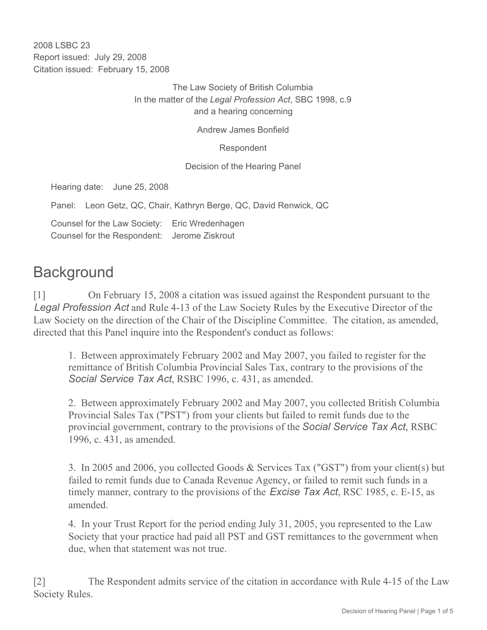2008 LSBC 23 Report issued: July 29, 2008 Citation issued: February 15, 2008

> The Law Society of British Columbia In the matter of the *Legal Profession Act*, SBC 1998, c.9 and a hearing concerning

> > Andrew James Bonfield

Respondent

Decision of the Hearing Panel

Hearing date: June 25, 2008

Panel: Leon Getz, QC, Chair, Kathryn Berge, QC, David Renwick, QC

Counsel for the Law Society: Eric Wredenhagen Counsel for the Respondent: Jerome Ziskrout

## **Background**

[1] On February 15, 2008 a citation was issued against the Respondent pursuant to the *Legal Profession Act* and Rule 4-13 of the Law Society Rules by the Executive Director of the Law Society on the direction of the Chair of the Discipline Committee. The citation, as amended, directed that this Panel inquire into the Respondent's conduct as follows:

1. Between approximately February 2002 and May 2007, you failed to register for the remittance of British Columbia Provincial Sales Tax, contrary to the provisions of the *Social Service Tax Act*, RSBC 1996, c. 431, as amended.

2. Between approximately February 2002 and May 2007, you collected British Columbia Provincial Sales Tax ("PST") from your clients but failed to remit funds due to the provincial government, contrary to the provisions of the *Social Service Tax Act*, RSBC 1996, c. 431, as amended.

3. In 2005 and 2006, you collected Goods & Services Tax ("GST") from your client(s) but failed to remit funds due to Canada Revenue Agency, or failed to remit such funds in a timely manner, contrary to the provisions of the *Excise Tax Act*, RSC 1985, c. E-15, as amended.

4. In your Trust Report for the period ending July 31, 2005, you represented to the Law Society that your practice had paid all PST and GST remittances to the government when due, when that statement was not true.

[2] The Respondent admits service of the citation in accordance with Rule 4-15 of the Law Society Rules.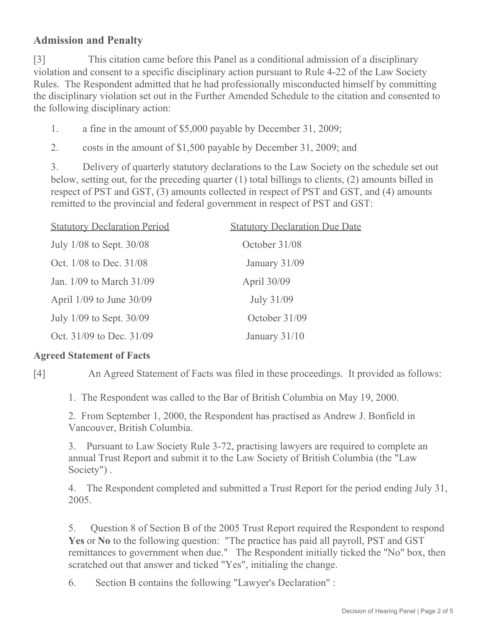## **Admission and Penalty**

[3] This citation came before this Panel as a conditional admission of a disciplinary violation and consent to a specific disciplinary action pursuant to Rule 4-22 of the Law Society Rules. The Respondent admitted that he had professionally misconducted himself by committing the disciplinary violation set out in the Further Amended Schedule to the citation and consented to the following disciplinary action:

1. a fine in the amount of \$5,000 payable by December 31, 2009;

2. costs in the amount of \$1,500 payable by December 31, 2009; and

3. Delivery of quarterly statutory declarations to the Law Society on the schedule set out below, setting out, for the preceding quarter (1) total billings to clients, (2) amounts billed in respect of PST and GST, (3) amounts collected in respect of PST and GST, and (4) amounts remitted to the provincial and federal government in respect of PST and GST:

| <b>Statutory Declaration Period</b> | <b>Statutory Declaration Due Date</b> |
|-------------------------------------|---------------------------------------|
| July 1/08 to Sept. 30/08            | October 31/08                         |
| Oct. 1/08 to Dec. 31/08             | January 31/09                         |
| Jan. 1/09 to March 31/09            | April 30/09                           |
| April 1/09 to June 30/09            | July 31/09                            |
| July 1/09 to Sept. 30/09            | October 31/09                         |
| Oct. 31/09 to Dec. 31/09            | January $31/10$                       |

## **Agreed Statement of Facts**

[4] An Agreed Statement of Facts was filed in these proceedings. It provided as follows:

1. The Respondent was called to the Bar of British Columbia on May 19, 2000.

2. From September 1, 2000, the Respondent has practised as Andrew J. Bonfield in Vancouver, British Columbia.

3. Pursuant to Law Society Rule 3-72, practising lawyers are required to complete an annual Trust Report and submit it to the Law Society of British Columbia (the "Law Society") .

4. The Respondent completed and submitted a Trust Report for the period ending July 31, 2005.

5. Question 8 of Section B of the 2005 Trust Report required the Respondent to respond **Yes** or **No** to the following question: "The practice has paid all payroll, PST and GST remittances to government when due." The Respondent initially ticked the "No" box, then scratched out that answer and ticked "Yes", initialing the change.

6. Section B contains the following "Lawyer's Declaration" :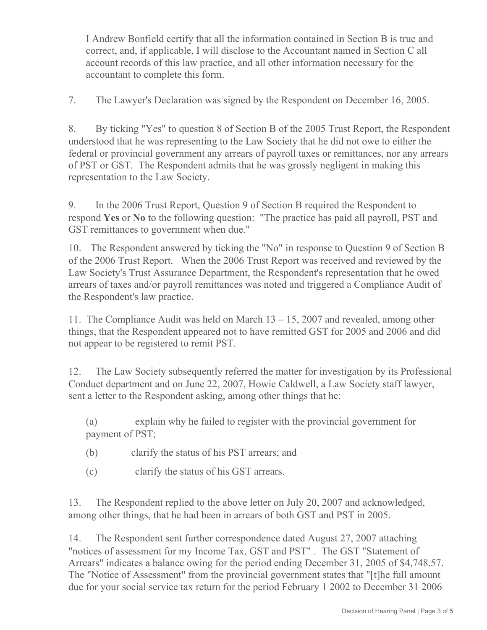I Andrew Bonfield certify that all the information contained in Section B is true and correct, and, if applicable, I will disclose to the Accountant named in Section C all account records of this law practice, and all other information necessary for the accountant to complete this form.

7. The Lawyer's Declaration was signed by the Respondent on December 16, 2005.

8. By ticking "Yes" to question 8 of Section B of the 2005 Trust Report, the Respondent understood that he was representing to the Law Society that he did not owe to either the federal or provincial government any arrears of payroll taxes or remittances, nor any arrears of PST or GST. The Respondent admits that he was grossly negligent in making this representation to the Law Society.

9. In the 2006 Trust Report, Question 9 of Section B required the Respondent to respond **Yes** or **No** to the following question: "The practice has paid all payroll, PST and GST remittances to government when due."

10. The Respondent answered by ticking the "No" in response to Question 9 of Section B of the 2006 Trust Report. When the 2006 Trust Report was received and reviewed by the Law Society's Trust Assurance Department, the Respondent's representation that he owed arrears of taxes and/or payroll remittances was noted and triggered a Compliance Audit of the Respondent's law practice.

11. The Compliance Audit was held on March 13 – 15, 2007 and revealed, among other things, that the Respondent appeared not to have remitted GST for 2005 and 2006 and did not appear to be registered to remit PST.

12. The Law Society subsequently referred the matter for investigation by its Professional Conduct department and on June 22, 2007, Howie Caldwell, a Law Society staff lawyer, sent a letter to the Respondent asking, among other things that he:

(a) explain why he failed to register with the provincial government for payment of PST;

- (b) clarify the status of his PST arrears; and
- (c) clarify the status of his GST arrears.

13. The Respondent replied to the above letter on July 20, 2007 and acknowledged, among other things, that he had been in arrears of both GST and PST in 2005.

14. The Respondent sent further correspondence dated August 27, 2007 attaching "notices of assessment for my Income Tax, GST and PST" . The GST "Statement of Arrears" indicates a balance owing for the period ending December 31, 2005 of \$4,748.57. The "Notice of Assessment" from the provincial government states that "[t]he full amount due for your social service tax return for the period February 1 2002 to December 31 2006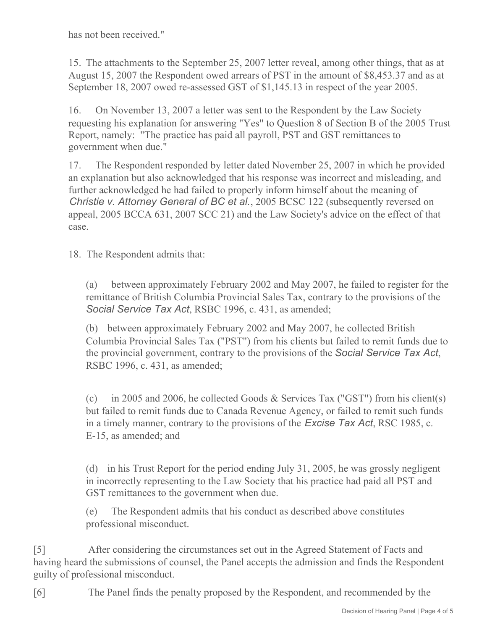has not been received."

15. The attachments to the September 25, 2007 letter reveal, among other things, that as at August 15, 2007 the Respondent owed arrears of PST in the amount of \$8,453.37 and as at September 18, 2007 owed re-assessed GST of \$1,145.13 in respect of the year 2005.

16. On November 13, 2007 a letter was sent to the Respondent by the Law Society requesting his explanation for answering "Yes" to Question 8 of Section B of the 2005 Trust Report, namely: "The practice has paid all payroll, PST and GST remittances to government when due."

17. The Respondent responded by letter dated November 25, 2007 in which he provided an explanation but also acknowledged that his response was incorrect and misleading, and further acknowledged he had failed to properly inform himself about the meaning of *Christie v. Attorney General of BC et al.*, 2005 BCSC 122 (subsequently reversed on appeal, 2005 BCCA 631, 2007 SCC 21) and the Law Society's advice on the effect of that case.

18. The Respondent admits that:

(a) between approximately February 2002 and May 2007, he failed to register for the remittance of British Columbia Provincial Sales Tax, contrary to the provisions of the *Social Service Tax Act*, RSBC 1996, c. 431, as amended;

(b) between approximately February 2002 and May 2007, he collected British Columbia Provincial Sales Tax ("PST") from his clients but failed to remit funds due to the provincial government, contrary to the provisions of the *Social Service Tax Act*, RSBC 1996, c. 431, as amended;

(c) in 2005 and 2006, he collected Goods & Services Tax ("GST") from his client(s) but failed to remit funds due to Canada Revenue Agency, or failed to remit such funds in a timely manner, contrary to the provisions of the *Excise Tax Act*, RSC 1985, c. E-15, as amended; and

(d) in his Trust Report for the period ending July 31, 2005, he was grossly negligent in incorrectly representing to the Law Society that his practice had paid all PST and GST remittances to the government when due.

(e) The Respondent admits that his conduct as described above constitutes professional misconduct.

[5] After considering the circumstances set out in the Agreed Statement of Facts and having heard the submissions of counsel, the Panel accepts the admission and finds the Respondent guilty of professional misconduct.

[6] The Panel finds the penalty proposed by the Respondent, and recommended by the